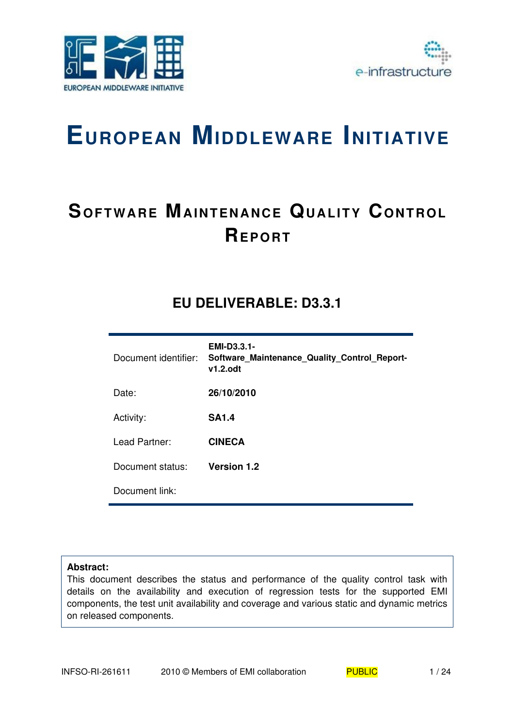



# **EUROPEAN MIDDLEWARE INITIATIVE**

## **SOFTWARE MAINTENANCE QUALITY CONTROL REP O RT**

## **EU DELIVERABLE: D3.3.1**

| Document identifier: | <b>EMI-D3.3.1-</b><br>Software Maintenance Quality Control Report-<br>$v1.2.$ odt |
|----------------------|-----------------------------------------------------------------------------------|
| Date:                | 26/10/2010                                                                        |
| Activity:            | <b>SA1.4</b>                                                                      |
| Lead Partner:        | <b>CINECA</b>                                                                     |
| Document status:     | <b>Version 1.2</b>                                                                |
| Document link:       |                                                                                   |

#### **Abstract:**

This document describes the status and performance of the quality control task with details on the availability and execution of regression tests for the supported EMI components, the test unit availability and coverage and various static and dynamic metrics on released components.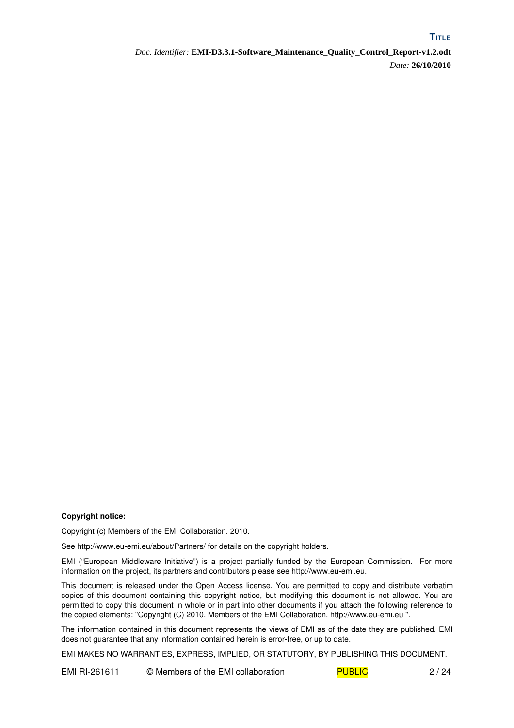#### **Copyright notice:**

Copyright (c) Members of the EMI Collaboration. 2010.

See http://www.eu-emi.eu/about/Partners/ for details on the copyright holders.

EMI ("European Middleware Initiative") is a project partially funded by the European Commission. For more information on the project, its partners and contributors please see http://www.eu-emi.eu.

This document is released under the Open Access license. You are permitted to copy and distribute verbatim copies of this document containing this copyright notice, but modifying this document is not allowed. You are permitted to copy this document in whole or in part into other documents if you attach the following reference to the copied elements: "Copyright (C) 2010. Members of the EMI Collaboration. http://www.euemi.eu ".

The information contained in this document represents the views of EMI as of the date they are published. EMI does not guarantee that any information contained herein is error-free, or up to date.

EMI MAKES NO WARRANTIES, EXPRESS, IMPLIED, OR STATUTORY, BY PUBLISHING THIS DOCUMENT.

EMI RI-261611 © Members of the EMI collaboration PUBLIC 2/24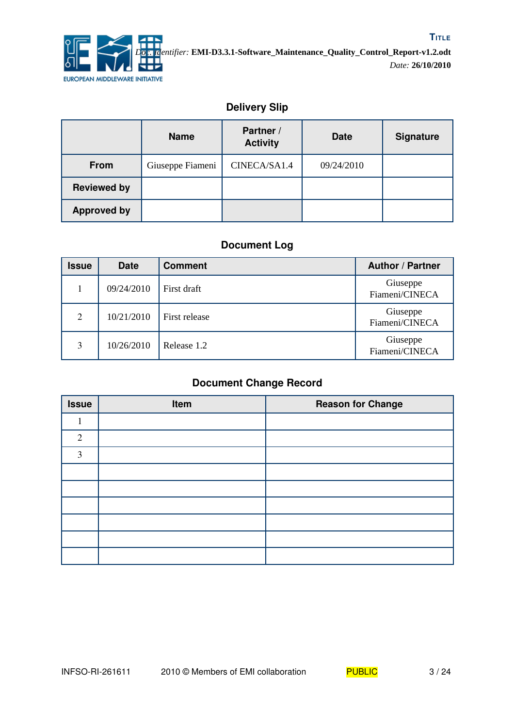

## **Delivery Slip**

|                    | <b>Name</b>      | Partner /<br><b>Activity</b> | <b>Date</b> | <b>Signature</b> |
|--------------------|------------------|------------------------------|-------------|------------------|
| <b>From</b>        | Giuseppe Fiameni | CINECA/SA1.4                 | 09/24/2010  |                  |
| <b>Reviewed by</b> |                  |                              |             |                  |
| <b>Approved by</b> |                  |                              |             |                  |

## **Document Log**

| Issue                       | <b>Date</b> | <b>Comment</b> | <b>Author / Partner</b>    |
|-----------------------------|-------------|----------------|----------------------------|
|                             | 09/24/2010  | First draft    | Giuseppe<br>Fiameni/CINECA |
| $\mathcal{D}_{\mathcal{L}}$ | 10/21/2010  | First release  | Giuseppe<br>Fiameni/CINECA |
| 3                           | 10/26/2010  | Release 1.2    | Giuseppe<br>Fiameni/CINECA |

## **Document Change Record**

| <b>Issue</b> | Item | <b>Reason for Change</b> |
|--------------|------|--------------------------|
|              |      |                          |
| 2            |      |                          |
| 3            |      |                          |
|              |      |                          |
|              |      |                          |
|              |      |                          |
|              |      |                          |
|              |      |                          |
|              |      |                          |

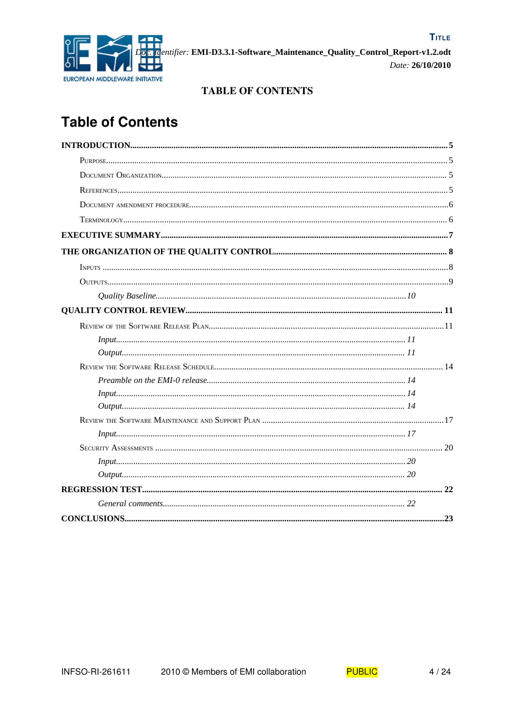

## **TABLE OF CONTENTS**

## **Table of Contents**

| Input 11 |  |
|----------|--|
|          |  |
|          |  |
|          |  |
|          |  |
|          |  |
|          |  |
| Input 17 |  |
|          |  |
|          |  |
|          |  |
|          |  |
|          |  |
|          |  |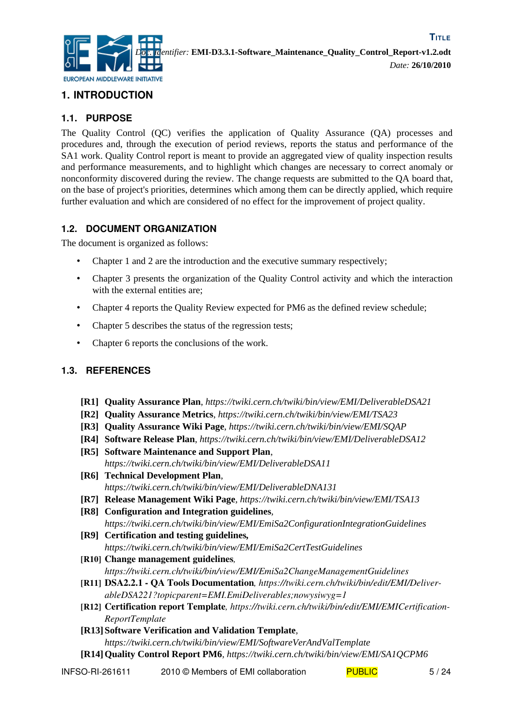

## **1. INTRODUCTION**

## **1.1. PURPOSE**

The Quality Control (QC) verifies the application of Quality Assurance (QA) processes and procedures and, through the execution of period reviews, reports the status and performance of the SA1 work. Quality Control report is meant to provide an aggregated view of quality inspection results and performance measurements, and to highlight which changes are necessary to correct anomaly or nonconformity discovered during the review. The change requests are submitted to the QA board that, on the base of project's priorities, determines which among them can be directly applied, which require further evaluation and which are considered of no effect for the improvement of project quality.

## **1.2. DOCUMENT ORGANIZATION**

The document is organized as follows:

- Chapter 1 and 2 are the introduction and the executive summary respectively;
- Chapter 3 presents the organization of the Quality Control activity and which the interaction with the external entities are:
- Chapter 4 reports the Quality Review expected for PM6 as the defined review schedule;
- Chapter 5 describes the status of the regression tests;
- Chapter 6 reports the conclusions of the work.

## **1.3. REFERENCES**

- <span id="page-4-1"></span>**[R1] Quality Assurance Plan**, *https://twiki.cern.ch/twiki/bin/view/EMI/DeliverableDSA21*
- **[R2] Quality Assurance Metrics**, *https://twiki.cern.ch/twiki/bin/view/EMI/TSA23*
- **[R3] Quality Assurance Wiki Page**, *https://twiki.cern.ch/twiki/bin/view/EMI/SQAP*
- <span id="page-4-4"></span>**[R4] Software Release Plan**, *https://twiki.cern.ch/twiki/bin/view/EMI/DeliverableDSA12*
- <span id="page-4-7"></span>**[R5] Software Maintenance and Support Plan**, *https://twiki.cern.ch/twiki/bin/view/EMI/DeliverableDSA11*
- <span id="page-4-6"></span>**[R6] Technical Development Plan**, *https://twiki.cern.ch/twiki/bin/view/EMI/DeliverableDNA131*
- <span id="page-4-3"></span>**[R7] Release Management Wiki Page***, https://twiki.cern.ch/twiki/bin/view/EMI/TSA13*
- <span id="page-4-2"></span>**[R8] Configuration and Integration guidelines***, https://twiki.cern.ch/twiki/bin/view/EMI/EmiSa2ConfigurationIntegrationGuidelines*
- <span id="page-4-11"></span>**[R9] Certification and testing guidelines***, https://twiki.cern.ch/twiki/bin/view/EMI/EmiSa2CertTestGuidelines*
- <span id="page-4-5"></span>[R10] Change management guidelines*, https://twiki.cern.ch/twiki/bin/view/EMI/EmiSa2ChangeManagementGuidelines*
- <span id="page-4-8"></span>[R11] DSA2.2.1 QA Tools Documentation*, https://twiki.cern.ch/twiki/bin/edit/EMI/DeliverableDSA221?topicparent=EMI.EmiDeliverables;nowysiwyg=1*
- <span id="page-4-10"></span>[R12] Certification report Template*, https://twiki.cern.ch/twiki/bin/edit/EMI/EMICertification-ReportTemplate*
- <span id="page-4-9"></span><span id="page-4-0"></span>**[R13] Software Verification and Validation Template***, https://twiki.cern.ch/twiki/bin/view/EMI/SoftwareVerAndValTemplate* **[R14]Quality Control Report PM6***, https://twiki.cern.ch/twiki/bin/view/EMI/SA1QCPM6*
- INFSO-RI-261611 2010 © Members of EMI collaboration PUBLIC 5/24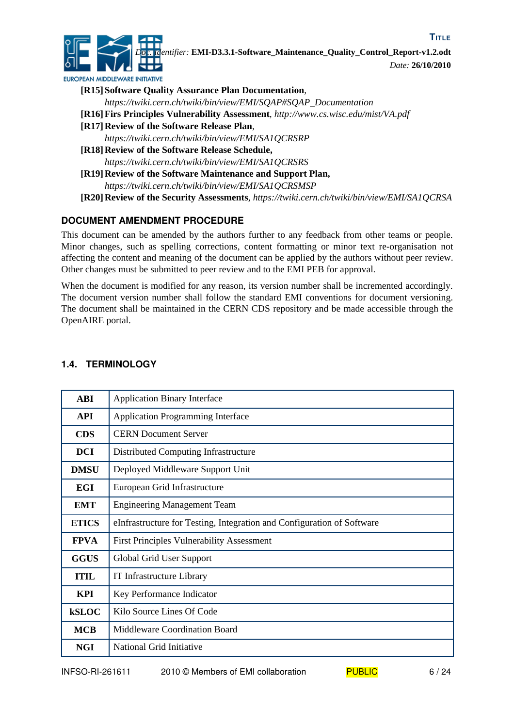

EUROPEAN MIDDLEWARE INITIATIVE

<span id="page-5-1"></span><span id="page-5-0"></span>**[R15] Software Quality Assurance Plan Documentation**, *https://twiki.cern.ch/twiki/bin/view/EMI/SQAP#SQAP\_Documentation* **[R16]Firs Principles Vulnerability Assessment***, http://www.cs.wisc.edu/mist/VA.pdf* **[R17]Review of the Software Release Plan**, *https://twiki.cern.ch/twiki/bin/view/EMI/SA1QCRSRP* **[R18]Review of the Software Release Schedule,** *https://twiki.cern.ch/twiki/bin/view/EMI/SA1QCRSRS* **[R19]Review of the Software Maintenance and Support Plan,** *https://twiki.cern.ch/twiki/bin/view/EMI/SA1QCRSMSP*

<span id="page-5-4"></span><span id="page-5-3"></span><span id="page-5-2"></span>**[R20]Review of the Security Assessments**, *https://twiki.cern.ch/twiki/bin/view/EMI/SA1QCRSA*

## **DOCUMENT AMENDMENT PROCEDURE**

This document can be amended by the authors further to any feedback from other teams or people. Minor changes, such as spelling corrections, content formatting or minor text re-organisation not affecting the content and meaning of the document can be applied by the authors without peer review. Other changes must be submitted to peer review and to the EMI PEB for approval.

When the document is modified for any reason, its version number shall be incremented accordingly. The document version number shall follow the standard EMI conventions for document versioning. The document shall be maintained in the CERN CDS repository and be made accessible through the OpenAIRE portal.

| ABI          | <b>Application Binary Interface</b>                                    |
|--------------|------------------------------------------------------------------------|
| <b>API</b>   | <b>Application Programming Interface</b>                               |
| <b>CDS</b>   | <b>CERN Document Server</b>                                            |
| <b>DCI</b>   | Distributed Computing Infrastructure                                   |
| <b>DMSU</b>  | Deployed Middleware Support Unit                                       |
| EGI          | European Grid Infrastructure                                           |
| <b>EMT</b>   | <b>Engineering Management Team</b>                                     |
| <b>ETICS</b> | eInfrastructure for Testing, Integration and Configuration of Software |
| <b>FPVA</b>  | <b>First Principles Vulnerability Assessment</b>                       |
| <b>GGUS</b>  | Global Grid User Support                                               |
| <b>TTIL</b>  | IT Infrastructure Library                                              |
| <b>KPI</b>   | Key Performance Indicator                                              |
| <b>kSLOC</b> | Kilo Source Lines Of Code                                              |
| <b>MCB</b>   | Middleware Coordination Board                                          |
| <b>NGI</b>   | National Grid Initiative                                               |

## **1.4. TERMINOLOGY**



*Date:* **26/10/2010**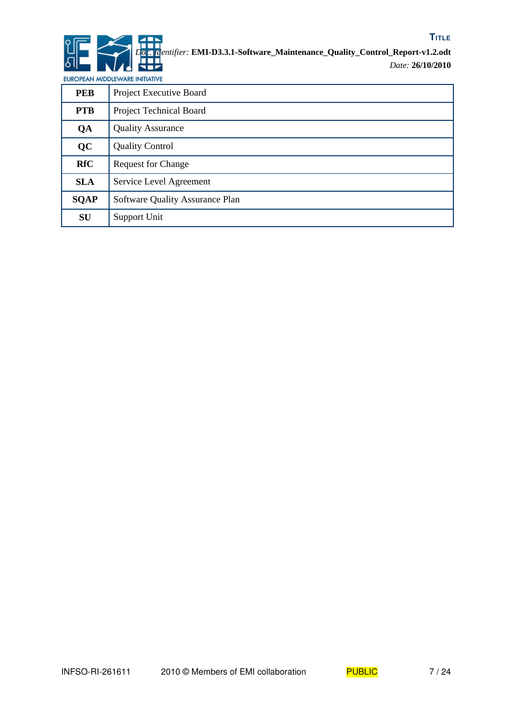

EUROPEAN MIDDLEWARE INITIATIVE

| <b>PEB</b>  | Project Executive Board         |
|-------------|---------------------------------|
| <b>PTB</b>  | Project Technical Board         |
| QA          | <b>Quality Assurance</b>        |
| QC          | <b>Quality Control</b>          |
| <b>RfC</b>  | <b>Request for Change</b>       |
| <b>SLA</b>  | Service Level Agreement         |
| <b>SQAP</b> | Software Quality Assurance Plan |
| <b>SU</b>   | Support Unit                    |

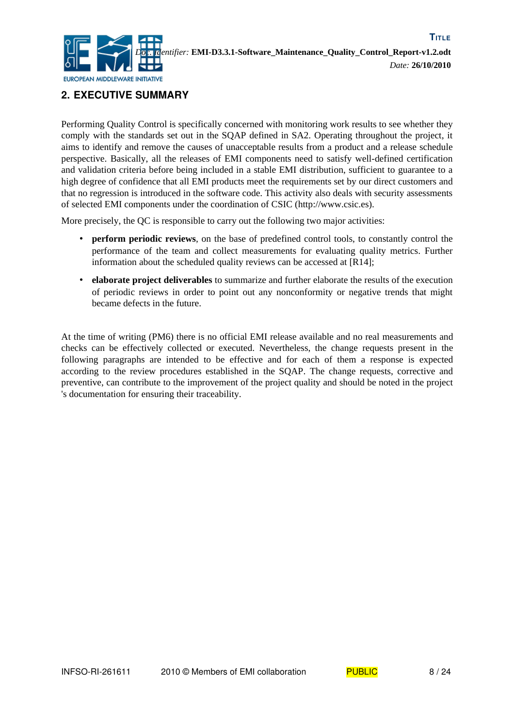

## **2. EXECUTIVE SUMMARY**

Performing Quality Control is specifically concerned with monitoring work results to see whether they comply with the standards set out in the SQAP defined in SA2. Operating throughout the project, it aims to identify and remove the causes of unacceptable results from a product and a release schedule perspective. Basically, all the releases of EMI components need to satisfy well-defined certification and validation criteria before being included in a stable EMI distribution, sufficient to guarantee to a high degree of confidence that all EMI products meet the requirements set by our direct customers and that no regression is introduced in the software code. This activity also deals with security assessments of selected EMI components under the coordination of CSIC (http://www.csic.es).

More precisely, the QC is responsible to carry out the following two major activities:

- **perform periodic reviews**, on the base of predefined control tools, to constantly control the performance of the team and collect measurements for evaluating quality metrics. Further information about the scheduled quality reviews can be accessed at [\[R14\];](#page-4-0)
- **elaborate project deliverables** to summarize and further elaborate the results of the execution of periodic reviews in order to point out any nonconformity or negative trends that might became defects in the future.

At the time of writing (PM6) there is no official EMI release available and no real measurements and checks can be effectively collected or executed. Nevertheless, the change requests present in the following paragraphs are intended to be effective and for each of them a response is expected according to the review procedures established in the SQAP. The change requests, corrective and preventive, can contribute to the improvement of the project quality and should be noted in the project 's documentation for ensuring their traceability.

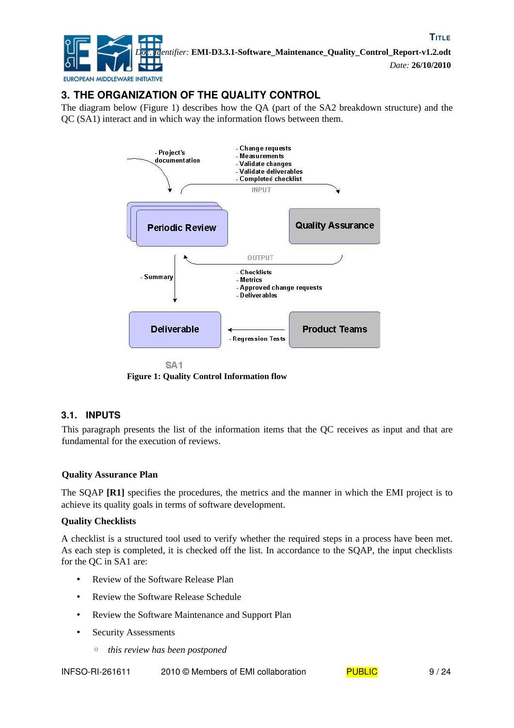

## **3. THE ORGANIZATION OF THE QUALITY CONTROL**

The diagram below [\(Figure 1\)](#page-8-0) describes how the QA (part of the SA2 breakdown structure) and the QC (SA1) interact and in which way the information flows between them.



<span id="page-8-0"></span>**Figure 1: Quality Control Information flow**

## **3.1. INPUTS**

This paragraph presents the list of the information items that the QC receives as input and that are fundamental for the execution of reviews.

#### **Quality Assurance Plan**

The SQAP **[\[R1\]](#page-4-1)** specifies the procedures, the metrics and the manner in which the EMI project is to achieve its quality goals in terms of software development.

#### **Quality Checklists**

A checklist is a structured tool used to verify whether the required steps in a process have been met. As each step is completed, it is checked off the list. In accordance to the SQAP, the input checklists for the QC in SA1 are:

- Review of the Software Release Plan
- Review the Software Release Schedule
- Review the Software Maintenance and Support Plan
- Security Assessments
	- *this review has been postponed*

INFSO-RI-261611 2010 © Members of EMI collaboration PUBLIC 9/24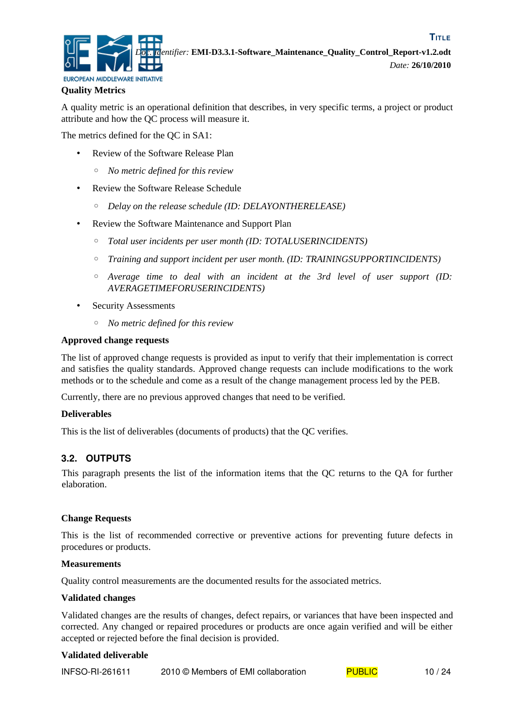

**TITLE**

#### **Quality Metrics**

A quality metric is an operational definition that describes, in very specific terms, a project or product attribute and how the QC process will measure it.

The metrics defined for the QC in SA1:

- Review of the Software Release Plan
	- *No metric defined for this review*
- Review the Software Release Schedule
	- *Delay on the release schedule (ID: DELAYONTHERELEASE)*
- Review the Software Maintenance and Support Plan
	- *Total user incidents per user month (ID: TOTALUSERINCIDENTS)*
	- *Training and support incident per user month. (ID: TRAININGSUPPORTINCIDENTS)*
	- *Average time to deal with an incident at the 3rd level of user support (ID: AVERAGETIMEFORUSERINCIDENTS)*
- Security Assessments
	- *No metric defined for this review*

#### **Approved change requests**

The list of approved change requests is provided as input to verify that their implementation is correct and satisfies the quality standards. Approved change requests can include modifications to the work methods or to the schedule and come as a result of the change management process led by the PEB.

Currently, there are no previous approved changes that need to be verified.

#### **Deliverables**

This is the list of deliverables (documents of products) that the QC verifies.

#### **3.2. OUTPUTS**

This paragraph presents the list of the information items that the QC returns to the QA for further elaboration.

#### **Change Requests**

This is the list of recommended corrective or preventive actions for preventing future defects in procedures or products.

#### **Measurements**

Quality control measurements are the documented results for the associated metrics.

#### **Validated changes**

Validated changes are the results of changes, defect repairs, or variances that have been inspected and corrected. Any changed or repaired procedures or products are once again verified and will be either accepted or rejected before the final decision is provided.

#### **Validated deliverable**

| <b>INFSO-RI-261611</b> | 2010 © Members of EMI collaboration | <b>PUBLIC</b> | 10/24 |
|------------------------|-------------------------------------|---------------|-------|
|------------------------|-------------------------------------|---------------|-------|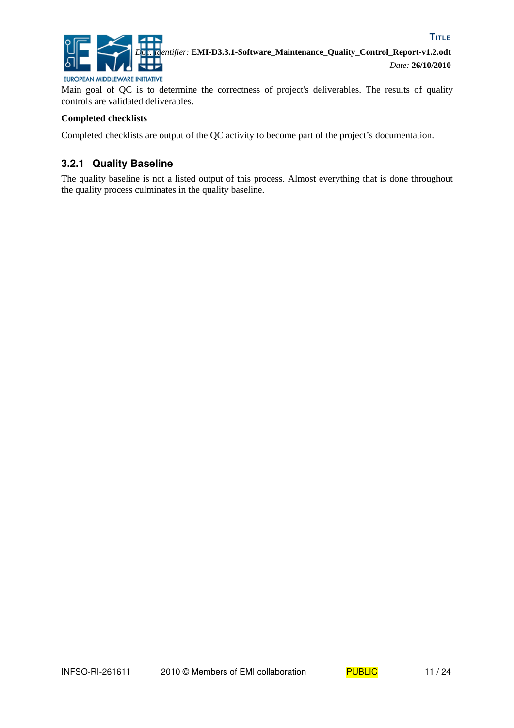

Main goal of QC is to determine the correctness of project's deliverables. The results of quality controls are validated deliverables.

#### **Completed checklists**

Completed checklists are output of the QC activity to become part of the project's documentation.

## **3.2.1 Quality Baseline**

The quality baseline is not a listed output of this process. Almost everything that is done throughout the quality process culminates in the quality baseline.

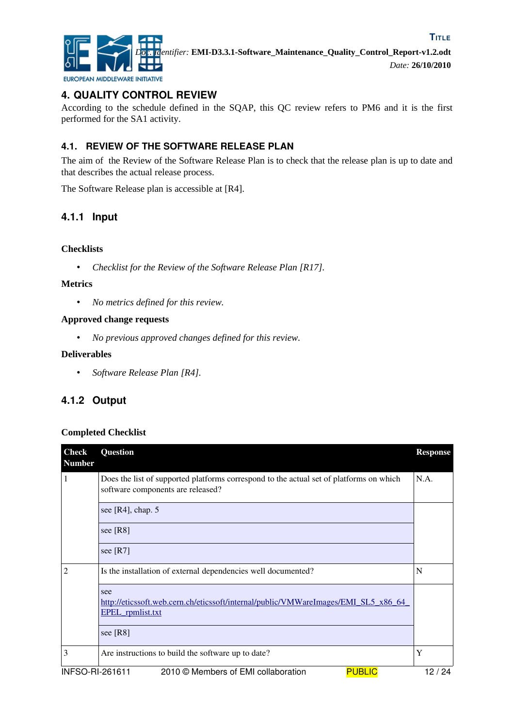

## **4. QUALITY CONTROL REVIEW**

According to the schedule defined in the SQAP, this QC review refers to PM6 and it is the first performed for the SA1 activity.

## **4.1. REVIEW OF THE SOFTWARE RELEASE PLAN**

The aim of the Review of the Software Release Plan is to check that the release plan is up to date and that describes the actual release process.

The Software Release plan is accessible at [\[R4\].](#page-4-4)

## **4.1.1 Input**

#### **Checklists**

• *Checklist for the Review of the Software Release Plan [\[R17\].](#page-5-0)*

#### **Metrics**

• *No metrics defined for this review.*

#### **Approved change requests**

• *No previous approved changes defined for this review.*

#### **Deliverables**

• *Software Release Plan [\[R4\].](#page-4-4)*

## **4.1.2 Output**

#### **Completed Checklist**

| <b>Check</b><br><b>Number</b> | Question                                                                                                                     | <b>Response</b> |
|-------------------------------|------------------------------------------------------------------------------------------------------------------------------|-----------------|
|                               | Does the list of supported platforms correspond to the actual set of platforms on which<br>software components are released? | N.A.            |
|                               | see [ $R4$ ], chap. 5                                                                                                        |                 |
|                               | see [R8]                                                                                                                     |                 |
|                               | see $[R7]$                                                                                                                   |                 |
| $\overline{2}$                | Is the installation of external dependencies well documented?                                                                | N               |
|                               | see<br>http://eticssoft.web.cern.ch/eticssoft/internal/public/VMWareImages/EMI SL5 x86 64<br>EPEL_rpmlist.txt                |                 |
|                               | see [R8]                                                                                                                     |                 |
| 3                             | Are instructions to build the software up to date?                                                                           | Y               |
| <b>INFSO-RI-261611</b>        | <b>PUBLIC</b><br>2010 © Members of EMI collaboration                                                                         | 12/24           |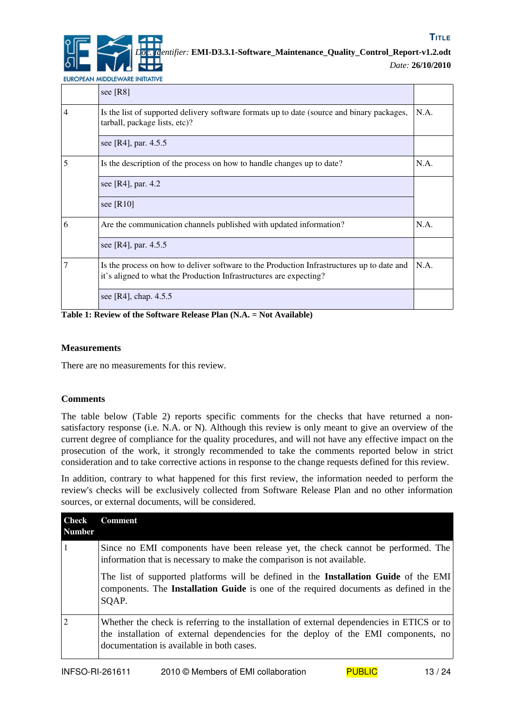*Doc. Identifier:* **EMI-D3.3.1-Software\_Maintenance\_Quality\_Control\_Report-v1.2.odt**

*Date:* **26/10/2010**

EUROPEAN MIDDLEWARE INITIATIVE

|   | see $[R8]$                                                                                                                                                       |      |
|---|------------------------------------------------------------------------------------------------------------------------------------------------------------------|------|
| 4 | Is the list of supported delivery software formats up to date (source and binary packages,<br>tarball, package lists, etc)?                                      | N.A. |
|   | see [R4], par. 4.5.5                                                                                                                                             |      |
| 5 | Is the description of the process on how to handle changes up to date?                                                                                           | N.A. |
|   | see [R4], par. 4.2                                                                                                                                               |      |
|   | see $[R10]$                                                                                                                                                      |      |
| 6 | Are the communication channels published with updated information?                                                                                               | N.A. |
|   | see [R4], par. 4.5.5                                                                                                                                             |      |
| 7 | Is the process on how to deliver software to the Production Infrastructures up to date and<br>it's aligned to what the Production Infrastructures are expecting? | N.A. |
|   | see [R4], chap. $4.5.5$                                                                                                                                          |      |

**Table 1: Review of the Software Release Plan (N.A. = Not Available)**

#### **Measurements**

There are no measurements for this review.

#### **Comments**

The table below [\(Table 2\)](#page-13-0) reports specific comments for the checks that have returned a nonsatisfactory response (i.e. N.A. or N). Although this review is only meant to give an overview of the current degree of compliance for the quality procedures, and will not have any effective impact on the prosecution of the work, it strongly recommended to take the comments reported below in strict consideration and to take corrective actions in response to the change requests defined for this review.

In addition, contrary to what happened for this first review, the information needed to perform the review's checks will be exclusively collected from Software Release Plan and no other information sources, or external documents, will be considered.

| <b>Check</b><br><b>Number</b> | <b>Comment</b>                                                                                                                                                                                                                |
|-------------------------------|-------------------------------------------------------------------------------------------------------------------------------------------------------------------------------------------------------------------------------|
|                               | Since no EMI components have been release yet, the check cannot be performed. The<br>information that is necessary to make the comparison is not available.                                                                   |
|                               | The list of supported platforms will be defined in the Installation Guide of the EMI<br>components. The Installation Guide is one of the required documents as defined in the<br>SQAP.                                        |
| $\overline{2}$                | Whether the check is referring to the installation of external dependencies in ETICS or to<br>the installation of external dependencies for the deploy of the EMI components, no<br>documentation is available in both cases. |

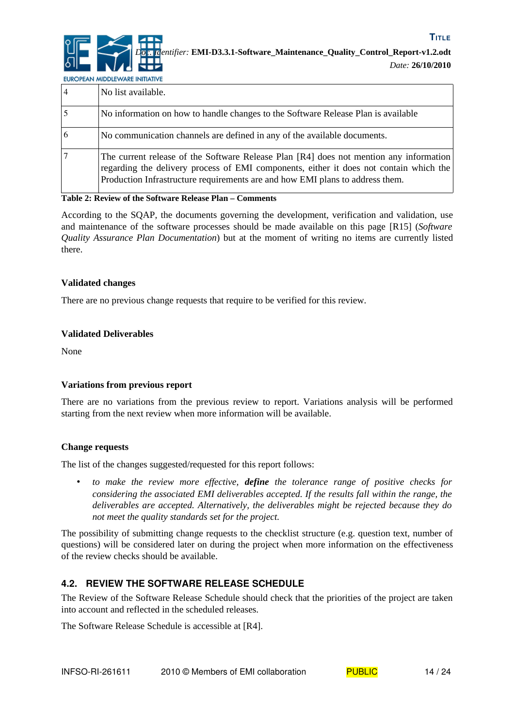

EUROPEAN MIDDLEWARE INITIATIVE

|   | No list available.                                                                                                                                                                                                                                                |
|---|-------------------------------------------------------------------------------------------------------------------------------------------------------------------------------------------------------------------------------------------------------------------|
|   | No information on how to handle changes to the Software Release Plan is available                                                                                                                                                                                 |
| 6 | No communication channels are defined in any of the available documents.                                                                                                                                                                                          |
|   | The current release of the Software Release Plan [R4] does not mention any information<br>regarding the delivery process of EMI components, either it does not contain which the<br>Production Infrastructure requirements are and how EMI plans to address them. |

#### <span id="page-13-0"></span>**Table 2: Review of the Software Release Plan – Comments**

According to the SQAP, the documents governing the development, verification and validation, use and maintenance of the software processes should be made available on this page [\[R15\]](#page-5-1) (*Software Quality Assurance Plan Documentation*) but at the moment of writing no items are currently listed there.

#### **Validated changes**

There are no previous change requests that require to be verified for this review.

#### **Validated Deliverables**

None

#### **Variations from previous report**

There are no variations from the previous review to report. Variations analysis will be performed starting from the next review when more information will be available.

#### **Change requests**

The list of the changes suggested/requested for this report follows:

• *to make the review more effective, define the tolerance range of positive checks for considering the associated EMI deliverables accepted. If the results fall within the range, the deliverables are accepted. Alternatively, the deliverables might be rejected because they do not meet the quality standards set for the project.*

The possibility of submitting change requests to the checklist structure (e.g. question text, number of questions) will be considered later on during the project when more information on the effectiveness of the review checks should be available.

## **4.2. REVIEW THE SOFTWARE RELEASE SCHEDULE**

The Review of the Software Release Schedule should check that the priorities of the project are taken into account and reflected in the scheduled releases.

The Software Release Schedule is accessible at [\[R4\].](#page-4-4)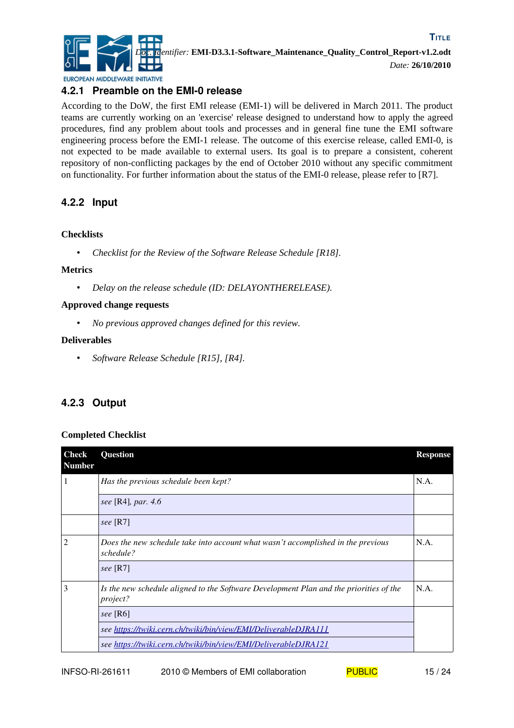

## **4.2.1 Preamble on the EMI-0 release**

According to the DoW, the first EMI release (EMI-1) will be delivered in March 2011. The product teams are currently working on an 'exercise' release designed to understand how to apply the agreed procedures, find any problem about tools and processes and in general fine tune the EMI software engineering process before the EMI-1 release. The outcome of this exercise release, called EMI-0, is not expected to be made available to external users. Its goal is to prepare a consistent, coherent repository of non-conflicting packages by the end of October 2010 without any specific commitment on functionality*.* For further information about the status of the EMI-0 release, please refer to [\[R7\].](#page-4-3)

## **4.2.2 Input**

#### **Checklists**

• *Checklist for the Review of the Software Release Schedule [\[R18\].](#page-5-2)*

#### **Metrics**

• *Delay on the release schedule (ID: DELAYONTHERELEASE).*

#### **Approved change requests**

• *No previous approved changes defined for this review.*

#### **Deliverables**

• *Software Release Schedule [\[R15\],](#page-5-1) [\[R4\].](#page-4-4)*

## **4.2.3 Output**

#### **Completed Checklist**

| <b>Check</b><br><b>Number</b> | <b>Question</b>                                                                                    | <b>Response</b> |
|-------------------------------|----------------------------------------------------------------------------------------------------|-----------------|
| 1                             | Has the previous schedule been kept?                                                               | N.A.            |
|                               | see [R4], par. $4.6$                                                                               |                 |
|                               | see $[R7]$                                                                                         |                 |
| 2                             | Does the new schedule take into account what wasn't accomplished in the previous<br>schedule?      | N.A.            |
|                               | see $[R7]$                                                                                         |                 |
| 3                             | Is the new schedule aligned to the Software Development Plan and the priorities of the<br>project? | N.A.            |
|                               | see [R6]                                                                                           |                 |
|                               | see https://twiki.cern.ch/twiki/bin/view/EMI/DeliverableDJRA111                                    |                 |
|                               | see https://twiki.cern.ch/twiki/bin/view/EMI/DeliverableDJRA121                                    |                 |

| INFSO-RI-261611<br>15/24<br><b>PUBLIC</b><br>2010 © Members of EMI collaboration |
|----------------------------------------------------------------------------------|
|                                                                                  |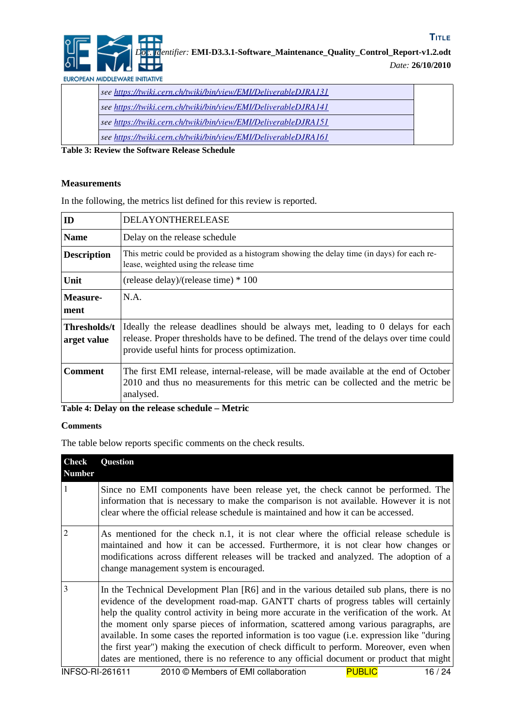

| see https://twiki.cern.ch/twiki/bin/view/EMI/DeliverableDJRA131 |  |
|-----------------------------------------------------------------|--|
| see https://twiki.cern.ch/twiki/bin/view/EMI/DeliverableDJRA141 |  |
| see https://twiki.cern.ch/twiki/bin/view/EMI/DeliverableDJRA151 |  |
| see https://twiki.cern.ch/twiki/bin/view/EMI/DeliverableDJRA161 |  |

**Table 3: Review the Software Release Schedule**

#### **Measurements**

In the following, the metrics list defined for this review is reported.

| ID                          | DELAYONTHERELEASE                                                                                                                                                                                                            |
|-----------------------------|------------------------------------------------------------------------------------------------------------------------------------------------------------------------------------------------------------------------------|
| <b>Name</b>                 | Delay on the release schedule                                                                                                                                                                                                |
| <b>Description</b>          | This metric could be provided as a histogram showing the delay time (in days) for each re-<br>lease, weighted using the release time                                                                                         |
| Unit                        | (release delay)/(release time) $*100$                                                                                                                                                                                        |
| Measure-<br>ment            | N.A.                                                                                                                                                                                                                         |
| Thresholds/t<br>arget value | Ideally the release deadlines should be always met, leading to 0 delays for each<br>release. Proper thresholds have to be defined. The trend of the delays over time could<br>provide useful hints for process optimization. |
| Comment                     | The first EMI release, internal-release, will be made available at the end of October<br>2010 and thus no measurements for this metric can be collected and the metric be<br>analysed.                                       |

**Table 4: Delay on the release schedule – Metric**

#### **Comments**

The table below reports specific comments on the check results.

| <b>Check</b><br><b>Number</b> | <b>Question</b>                                                                                                                                                                                                                                                                                                                                                                                                                                                                                                                                                                                                                                                        |
|-------------------------------|------------------------------------------------------------------------------------------------------------------------------------------------------------------------------------------------------------------------------------------------------------------------------------------------------------------------------------------------------------------------------------------------------------------------------------------------------------------------------------------------------------------------------------------------------------------------------------------------------------------------------------------------------------------------|
| $\mathbf{1}$                  | Since no EMI components have been release yet, the check cannot be performed. The<br>information that is necessary to make the comparison is not available. However it is not<br>clear where the official release schedule is maintained and how it can be accessed.                                                                                                                                                                                                                                                                                                                                                                                                   |
| $\overline{2}$                | As mentioned for the check n.1, it is not clear where the official release schedule is<br>maintained and how it can be accessed. Furthermore, it is not clear how changes or<br>modifications across different releases will be tracked and analyzed. The adoption of a<br>change management system is encouraged.                                                                                                                                                                                                                                                                                                                                                     |
| $\overline{\mathbf{3}}$       | In the Technical Development Plan $[R6]$ and in the various detailed sub plans, there is no<br>evidence of the development road-map. GANTT charts of progress tables will certainly<br>help the quality control activity in being more accurate in the verification of the work. At<br>the moment only sparse pieces of information, scattered among various paragraphs, are<br>available. In some cases the reported information is too vague (i.e. expression like "during"<br>the first year") making the execution of check difficult to perform. Moreover, even when<br>dates are mentioned, there is no reference to any official document or product that might |
| INFSO-RI-261611               | 2010 © Members of EMI collaboration<br><b>PUBLIC</b><br>16/24                                                                                                                                                                                                                                                                                                                                                                                                                                                                                                                                                                                                          |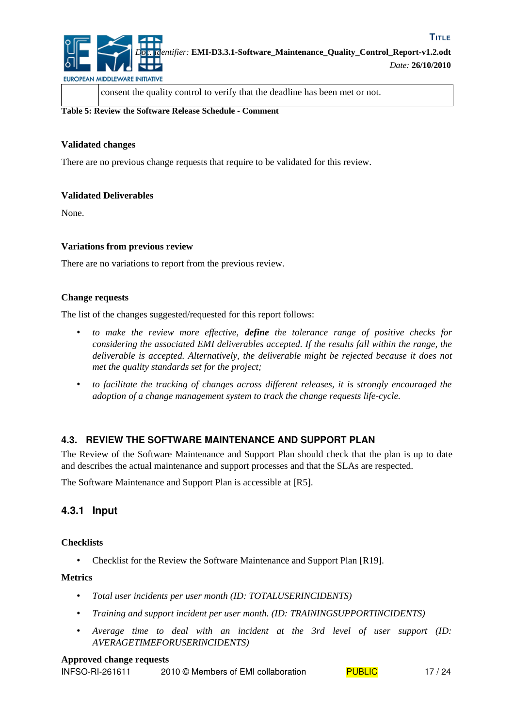

consent the quality control to verify that the deadline has been met or not.

#### **Table 5: Review the Software Release Schedule - Comment**

#### **Validated changes**

There are no previous change requests that require to be validated for this review.

#### **Validated Deliverables**

None.

#### **Variations from previous review**

There are no variations to report from the previous review.

#### **Change requests**

The list of the changes suggested/requested for this report follows:

- *to make the review more effective, define the tolerance range of positive checks for considering the associated EMI deliverables accepted. If the results fall within the range, the deliverable is accepted. Alternatively, the deliverable might be rejected because it does not met the quality standards set for the project;*
- *to facilitate the tracking of changes across different releases, it is strongly encouraged the adoption of a change management system to track the change requests life-cycle.*

### **4.3. REVIEW THE SOFTWARE MAINTENANCE AND SUPPORT PLAN**

The Review of the Software Maintenance and Support Plan should check that the plan is up to date and describes the actual maintenance and support processes and that the SLAs are respected.

The Software Maintenance and Support Plan is accessible at [\[R5\].](#page-4-7)

## **4.3.1 Input**

#### **Checklists**

• Checklist for the Review the Software Maintenance and Support Plan [\[R19\].](#page-5-3)

#### **Metrics**

- *Total user incidents per user month (ID: TOTALUSERINCIDENTS)*
- *Training and support incident per user month. (ID: TRAININGSUPPORTINCIDENTS)*
- *Average time to deal with an incident at the 3rd level of user support (ID: AVERAGETIMEFORUSERINCIDENTS)*

#### **Approved change requests**

| INFSO-RI-261611 | 2010 © Members of EMI collaboration | <b>PUBLIC</b> | 17/24 |
|-----------------|-------------------------------------|---------------|-------|
|-----------------|-------------------------------------|---------------|-------|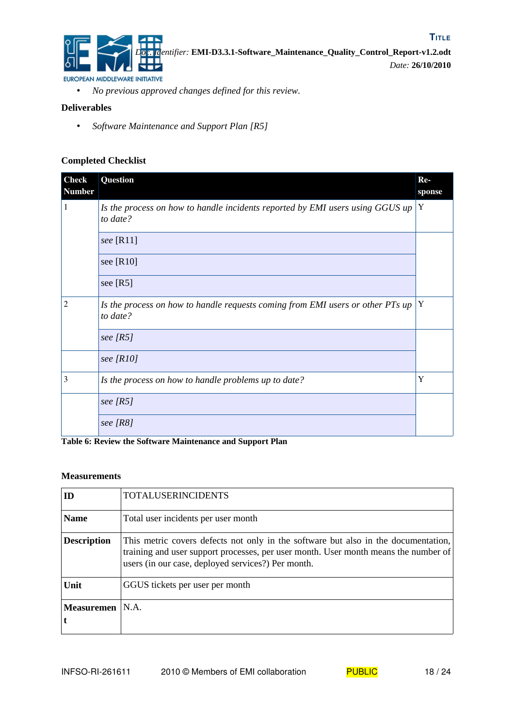

• *No previous approved changes defined for this review.*

#### **Deliverables**

• *Software Maintenance and Support Plan [\[R5\]](#page-4-7)*

#### **Completed Checklist**

| <b>Check</b><br><b>Number</b> | Question                                                                                   | $Re-$<br>sponse |
|-------------------------------|--------------------------------------------------------------------------------------------|-----------------|
| 1                             | Is the process on how to handle incidents reported by EMI users using GGUS up<br>to date?  | Y               |
|                               | see [R11]                                                                                  |                 |
|                               | see [R10]                                                                                  |                 |
|                               | see $[R5]$                                                                                 |                 |
| 2                             | Is the process on how to handle requests coming from EMI users or other PTs up<br>to date? | Y               |
|                               | see $[RS]$                                                                                 |                 |
|                               | see $[R10]$                                                                                |                 |
| 3                             | Is the process on how to handle problems up to date?                                       | Y               |
|                               | see $[RS]$                                                                                 |                 |
|                               | see $[RS]$                                                                                 |                 |

**Table 6: Review the Software Maintenance and Support Plan**

#### **Measurements**

| ID                 | <b>TOTALUSERINCIDENTS</b>                                                                                                                                                                                                       |
|--------------------|---------------------------------------------------------------------------------------------------------------------------------------------------------------------------------------------------------------------------------|
| <b>Name</b>        | Total user incidents per user month                                                                                                                                                                                             |
| <b>Description</b> | This metric covers defects not only in the software but also in the documentation,<br>training and user support processes, per user month. User month means the number of<br>users (in our case, deployed services?) Per month. |
| Unit               | GGUS tickets per user per month                                                                                                                                                                                                 |
| <b>Measuremen</b>  | NA.                                                                                                                                                                                                                             |

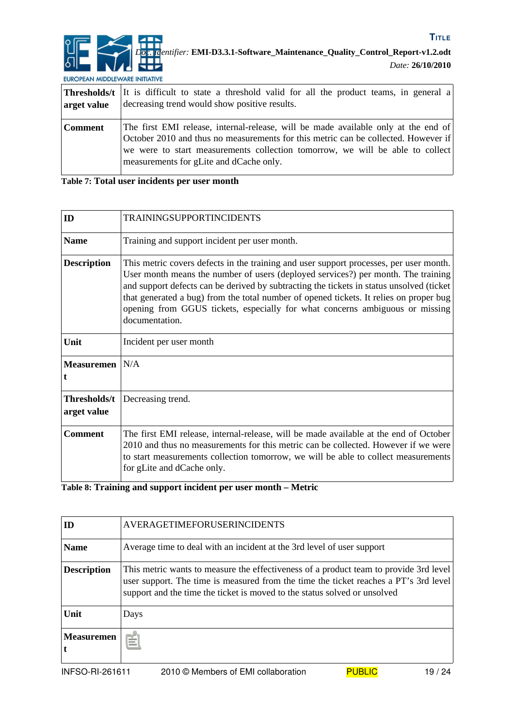

| arget value | <b>Thresholds/t</b> It is difficult to state a threshold valid for all the product teams, in general a<br>decreasing trend would show positive results.                                                                                                                                              |
|-------------|------------------------------------------------------------------------------------------------------------------------------------------------------------------------------------------------------------------------------------------------------------------------------------------------------|
| Comment     | The first EMI release, internal-release, will be made available only at the end of<br>October 2010 and thus no measurements for this metric can be collected. However if<br>we were to start measurements collection tomorrow, we will be able to collect<br>measurements for gLite and dCache only. |

| Table 7: Total user incidents per user month |  |  |  |
|----------------------------------------------|--|--|--|
|                                              |  |  |  |

| ID                          | <b>TRAININGSUPPORTINCIDENTS</b>                                                                                                                                                                                                                                                                                                                                                                                                                                     |
|-----------------------------|---------------------------------------------------------------------------------------------------------------------------------------------------------------------------------------------------------------------------------------------------------------------------------------------------------------------------------------------------------------------------------------------------------------------------------------------------------------------|
| <b>Name</b>                 | Training and support incident per user month.                                                                                                                                                                                                                                                                                                                                                                                                                       |
| <b>Description</b>          | This metric covers defects in the training and user support processes, per user month.<br>User month means the number of users (deployed services?) per month. The training<br>and support defects can be derived by subtracting the tickets in status unsolved (ticket<br>that generated a bug) from the total number of opened tickets. It relies on proper bug<br>opening from GGUS tickets, especially for what concerns ambiguous or missing<br>documentation. |
| Unit                        | Incident per user month                                                                                                                                                                                                                                                                                                                                                                                                                                             |
| <b>Measuremen</b>           | N/A                                                                                                                                                                                                                                                                                                                                                                                                                                                                 |
| Thresholds/t<br>arget value | Decreasing trend.                                                                                                                                                                                                                                                                                                                                                                                                                                                   |
| <b>Comment</b>              | The first EMI release, internal-release, will be made available at the end of October<br>2010 and thus no measurements for this metric can be collected. However if we were<br>to start measurements collection tomorrow, we will be able to collect measurements<br>for gLite and dCache only.                                                                                                                                                                     |

## **Table 8: Training and support incident per user month – Metric**

| ID                 | AVERAGETIMEFORUSERINCIDENTS                                                                                                                                                                                                                                |
|--------------------|------------------------------------------------------------------------------------------------------------------------------------------------------------------------------------------------------------------------------------------------------------|
| <b>Name</b>        | Average time to deal with an incident at the 3rd level of user support                                                                                                                                                                                     |
| <b>Description</b> | This metric wants to measure the effectiveness of a product team to provide 3rd level<br>user support. The time is measured from the time the ticket reaches a PT's 3rd level<br>support and the time the ticket is moved to the status solved or unsolved |
| Unit               | Days                                                                                                                                                                                                                                                       |
| <b>Measuremen</b>  | N.A.                                                                                                                                                                                                                                                       |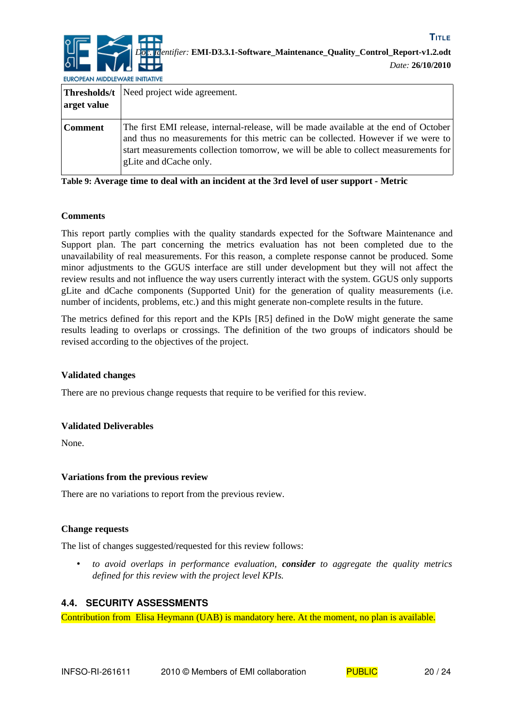

| arget value    | <b>Thresholds/t</b> Need project wide agreement.                                                                                                                                                                                                                                           |
|----------------|--------------------------------------------------------------------------------------------------------------------------------------------------------------------------------------------------------------------------------------------------------------------------------------------|
| <b>Comment</b> | The first EMI release, internal-release, will be made available at the end of October<br>and thus no measurements for this metric can be collected. However if we were to<br>start measurements collection tomorrow, we will be able to collect measurements for<br>gLite and dCache only. |

**Table 9: Average time to deal with an incident at the 3rd level of user support - Metric**

#### **Comments**

This report partly complies with the quality standards expected for the Software Maintenance and Support plan. The part concerning the metrics evaluation has not been completed due to the unavailability of real measurements. For this reason, a complete response cannot be produced. Some minor adjustments to the GGUS interface are still under development but they will not affect the review results and not influence the way users currently interact with the system. GGUS only supports gLite and dCache components (Supported Unit) for the generation of quality measurements (i.e. number of incidents, problems, etc.) and this might generate non-complete results in the future.

The metrics defined for this report and the KPIs [\[R5\]](#page-4-7) defined in the DoW might generate the same results leading to overlaps or crossings. The definition of the two groups of indicators should be revised according to the objectives of the project.

#### **Validated changes**

There are no previous change requests that require to be verified for this review.

#### **Validated Deliverables**

None.

#### **Variations from the previous review**

There are no variations to report from the previous review.

#### **Change requests**

The list of changes suggested/requested for this review follows:

• *to avoid overlaps in performance evaluation, consider to aggregate the quality metrics defined for this review with the project level KPIs.*

### **4.4. SECURITY ASSESSMENTS**

Contribution from Elisa Heymann (UAB) is mandatory here. At the moment, no plan is available.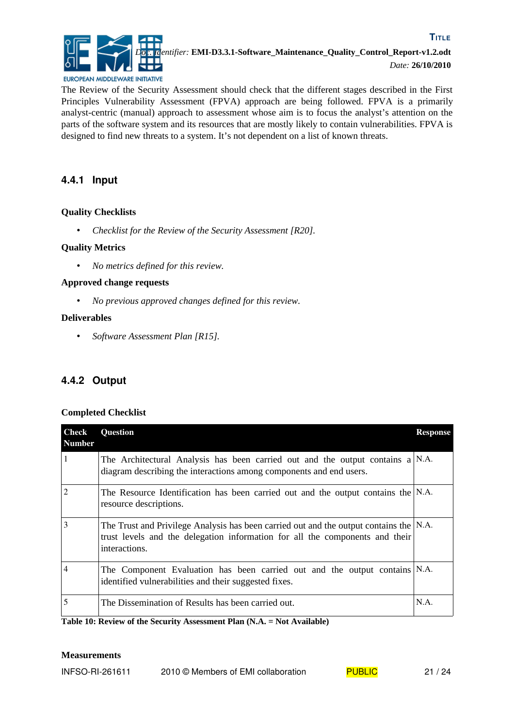

The Review of the Security Assessment should check that the different stages described in the First Principles Vulnerability Assessment (FPVA) approach are being followed. FPVA is a primarily analyst-centric (manual) approach to assessment whose aim is to focus the analyst's attention on the parts of the software system and its resources that are mostly likely to contain vulnerabilities. FPVA is designed to find new threats to a system. It's not dependent on a list of known threats.

## **4.4.1 Input**

#### **Quality Checklists**

• *Checklist for the Review of the Security Assessment [\[R20\].](#page-5-4)*

#### **Quality Metrics**

• *No metrics defined for this review.*

#### **Approved change requests**

• *No previous approved changes defined for this review.*

#### **Deliverables**

• *Software Assessment Plan [\[R15\].](#page-5-1)*

## **4.4.2 Output**

#### **Completed Checklist**

| <b>Check</b><br><b>Number</b> | <b>Question</b>                                                                                                                                                                             | <b>Response</b> |
|-------------------------------|---------------------------------------------------------------------------------------------------------------------------------------------------------------------------------------------|-----------------|
|                               | The Architectural Analysis has been carried out and the output contains $a \,   N.A.$<br>diagram describing the interactions among components and end users.                                |                 |
| $\overline{2}$                | The Resource Identification has been carried out and the output contains the $ N.A.$<br>resource descriptions.                                                                              |                 |
| 3                             | The Trust and Privilege Analysis has been carried out and the output contains the $ N.A$ .<br>trust levels and the delegation information for all the components and their<br>interactions. |                 |
| 4                             | The Component Evaluation has been carried out and the output contains N.A.<br>identified vulnerabilities and their suggested fixes.                                                         |                 |
| 5                             | The Dissemination of Results has been carried out.                                                                                                                                          | N.A.            |

**Table 10: Review of the Security Assessment Plan (N.A. = Not Available)**

#### **Measurements**

| INFSO-RI-261611 | 2010 © Members of EMI collaboration | <b>PUBLIC</b> | 21/24 |  |
|-----------------|-------------------------------------|---------------|-------|--|
|-----------------|-------------------------------------|---------------|-------|--|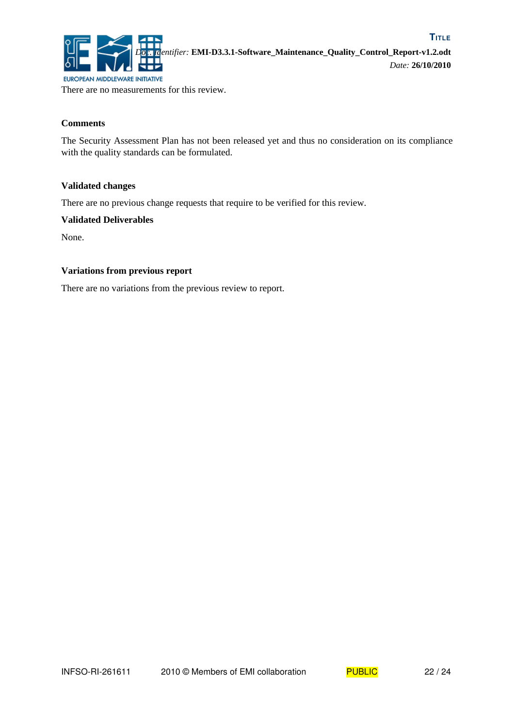

There are no measurements for this review.

#### **Comments**

The Security Assessment Plan has not been released yet and thus no consideration on its compliance with the quality standards can be formulated.

#### **Validated changes**

There are no previous change requests that require to be verified for this review.

#### **Validated Deliverables**

None.

#### **Variations from previous report**

There are no variations from the previous review to report.

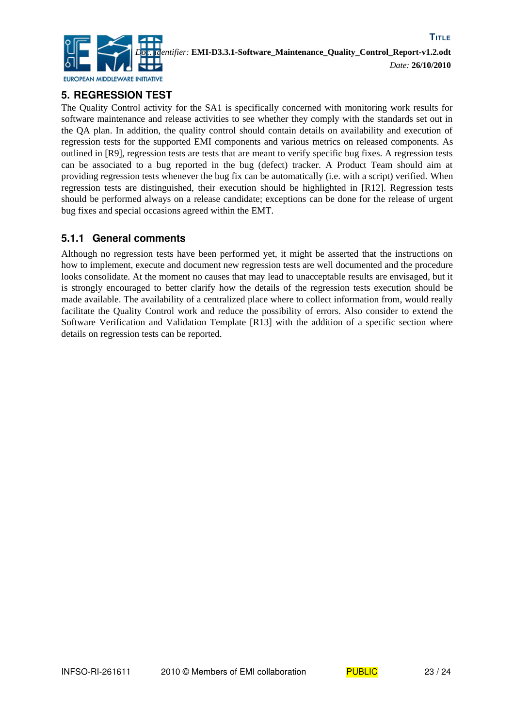

## **5. REGRESSION TEST**

The Quality Control activity for the SA1 is specifically concerned with monitoring work results for software maintenance and release activities to see whether they comply with the standards set out in the QA plan. In addition, the quality control should contain details on availability and execution of regression tests for the supported EMI components and various metrics on released components. As outlined in [\[R9\],](#page-4-11) regression tests are tests that are meant to verify specific bug fixes. A regression tests can be associated to a bug reported in the bug (defect) tracker. A Product Team should aim at providing regression tests whenever the bug fix can be automatically (i.e. with a script) verified. When regression tests are distinguished, their execution should be highlighted in [\[R12\].](#page-4-10) Regression tests should be performed always on a release candidate; exceptions can be done for the release of urgent bug fixes and special occasions agreed within the EMT.

## **5.1.1 General comments**

Although no regression tests have been performed yet, it might be asserted that the instructions on how to implement, execute and document new regression tests are well documented and the procedure looks consolidate. At the moment no causes that may lead to unacceptable results are envisaged, but it is strongly encouraged to better clarify how the details of the regression tests execution should be made available. The availability of a centralized place where to collect information from, would really facilitate the Quality Control work and reduce the possibility of errors. Also consider to extend the Software Verification and Validation Template [\[R13\]](#page-4-9) with the addition of a specific section where details on regression tests can be reported.